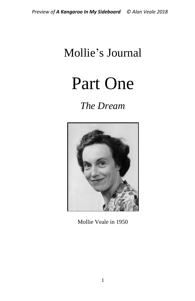# Mollie's Journal

Part One

*The Dream*



Mollie Veale in 1950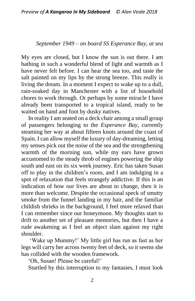### *September 1949 – on board SS Esperance Bay, at sea*

My eyes are closed, but I know the sun is out there. I am bathing in such a wonderful blend of light and warmth as I have never felt before. I can hear the sea too, and taste the salt painted on my lips by the strong breeze. This really is living the dream. In a moment I expect to wake up to a dull, rain-soaked day in Manchester with a list of household chores to work through. Or perhaps by some miracle I have already been transported to a tropical island, ready to be waited on hand and foot by dusky natives.

In reality I am seated on a deck chair among a small group of passengers belonging to the *Esperance Bay*, currently steaming her way at about fifteen knots around the coast of Spain. I can allow myself the luxury of day-dreaming, letting my senses pick out the noise of the sea and the strengthening warmth of the morning sun, while my ears have grown accustomed to the steady throb of engines powering the ship south and east on its six week journey. Eric has taken Susan off to play in the children's room, and I am indulging in a spot of relaxation that feels strangely addictive. If this is an indication of how our lives are about to change, then it is more than welcome. Despite the occasional speck of smutty smoke from the funnel landing in my hair, and the familiar childish shrieks in the background, I feel more relaxed than I can remember since our honeymoon. My thoughts start to drift to another set of pleasant memories, but then I have a rude awakening as I feel an object slam against my right shoulder.

'Wake up Mummy!' My little girl has run as fast as her legs will carry her across twenty feet of deck, so it seems she has collided with the wooden framework.

'Oh, Susan! Please be careful!'

Startled by this interruption to my fantasies, I must look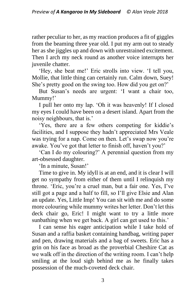rather peculiar to her, as my reaction produces a fit of giggles from the beaming three year old. I put my arm out to steady her as she jiggles up and down with unrestrained excitement. Then I arch my neck round as another voice interrupts her juvenile chatter.

'Hey, she beat me!' Eric strolls into view. 'I tell you, Mollie, that little thing can certainly run. Calm down, Suey! She's pretty good on the swing too. How did you get on?'

But Susan's needs are urgent: 'I want a chair too, Mummy!'

I pull her onto my lap. 'Oh it was heavenly! If I closed my eyes I could have been on a desert island. Apart from the noisy neighbours, that is.'

'Yes, there are a few others competing for kiddie's facilities, and I suppose they hadn't appreciated Mrs Veale was trying for a nap. Come on then. Let's swap now you're awake. You've got that letter to finish off, haven't you?'

'Can I do my colouring?' A perennial question from my art-obsessed daughter.

'In a minute, Susan!'

Time to give in. My idyll is at an end, and it is clear I will get no sympathy from either of them until I relinquish my throne. 'Eric, you're a cruel man, but a fair one. Yes, I've still got a page and a half to fill, so I'll give Elsie and Alan an update. Yes, Little Imp! You can sit with me and do some more colouring while mummy writes her letter. Don't let this deck chair go, Eric! I might want to try a little more sunbathing when we get back. A girl can get used to this.'

I can sense his eager anticipation while I take hold of Susan and a raffia basket containing handbag, writing paper and pen, drawing materials and a bag of sweets. Eric has a grin on his face as broad as the proverbial Cheshire Cat as we walk off in the direction of the writing room. I can't help smiling at the loud sigh behind me as he finally takes possession of the much-coveted deck chair.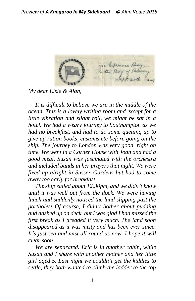

*My dear Elsie & Alan,*

*It is difficult to believe we are in the middle of the ocean. This is a lovely writing room and except for a little vibration and slight roll, we might be sat in a hotel. We had a weary journey to Southampton as we had no breakfast, and had to do some queuing up to give up ration books, customs etc before going on the ship. The journey to London was very good, right on time. We went in a Corner House with Joan and had a good meal. Susan was fascinated with the orchestra and included bands in her prayers that night. We were fixed up alright in Sussex Gardens but had to come away too early for breakfast.*

*The ship sailed about 12.30pm, and we didn't know until it was well out from the dock. We were having lunch and suddenly noticed the land slipping past the portholes! Of course, I didn't bother about pudding and dashed up on deck, but I was glad I had missed the first break as I dreaded it very much. The land soon disappeared as it was misty and has been ever since. It's just sea and mist all round us now. I hope it will clear soon.* 

*We are separated. Eric is in another cabin, while Susan and I share with another mother and her little girl aged 5. Last night we couldn't get the kiddies to settle, they both wanted to climb the ladder to the top*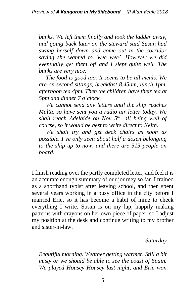*bunks. We left them finally and took the ladder away, and going back later on the steward said Susan had swung herself down and come out in the corridor saying she wanted to 'wee wee'. However we did eventually get them off and I slept quite well. The bunks are very nice.*

*The food is good too. It seems to be all meals. We are on second sittings, breakfast 8.45am, lunch 1pm, afternoon tea 4pm. Then the children have their tea at 5pm and dinner 7 o'clock.*

*We cannot send any letters until the ship reaches Malta, so have sent you a radio air letter today. We shall reach Adelaide on Nov 5th , all being well of course, so it would be best to write direct to Keith.*

*We shall try and get deck chairs as soon as possible. I've only seen about half a dozen belonging to the ship up to now, and there are 515 people on board.*

I finish reading over the partly completed letter, and feel it is an accurate enough summary of our journey so far. I trained as a shorthand typist after leaving school, and then spent several years working in a busy office in the city before I married Eric, so it has become a habit of mine to check everything I write. Susan is on my lap, happily making patterns with crayons on her own piece of paper, so I adjust my position at the desk and continue writing to my brother and sister-in-law.

*Saturday*

*Beautiful morning. Weather getting warmer. Still a bit misty or we should be able to see the coast of Spain. We played Housey Housey last night, and Eric won*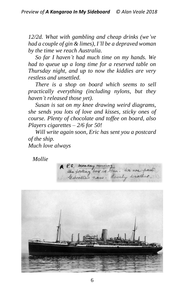*12/2d. What with gambling and cheap drinks (we've had a couple of gin & limes), I'll be a depraved woman by the time we reach Australia.*

*So far I haven't had much time on my hands. We had to queue up a long time for a reserved table on Thursday night, and up to now the kiddies are very restless and unsettled.*

*There is a shop on board which seems to sell practically everything (including nylons, but they haven't released those yet).*

*Susan is sat on my knee drawing weird diagrams, she sends you lots of love and kisses, sticky ones of course. Plenty of chocolate and toffee on board, also Players cigarettes* – *2/6 for 50!*

*Will write again soon, Eric has sent you a postcard of the ship. Much love always*

 *Mollie*

6 P.S. Monday Mor Then. We are past Gebralton now. Lovely weather

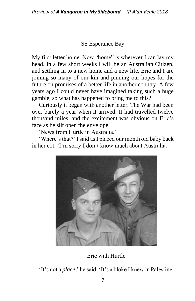## SS Esperance Bay

My first letter home. Now "home" is wherever I can lay my head. In a few short weeks I will be an Australian Citizen, and settling in to a new home and a new life. Eric and I are joining so many of our kin and pinning our hopes for the future on promises of a better life in another country. A few years ago I could never have imagined taking such a huge gamble, so what has happened to bring me to this?

Curiously it began with another letter. The War had been over barely a year when it arrived. It had travelled twelve thousand miles, and the excitement was obvious on Eric's face as he slit open the envelope.

'News from Hurtle in Australia.'

'Where's that?' I said as I placed our month old baby back in her cot. 'I'm sorry I don't know much about Australia.'



Eric with Hurtle

'It's not a *place*,' he said. 'It's a bloke I knew in Palestine.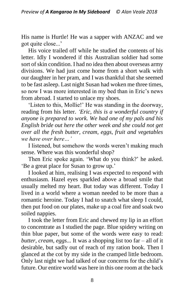His name is Hurtle! He was a sapper with ANZAC and we got quite close...'

His voice trailed off while he studied the contents of his letter. Idly I wondered if this Australian soldier had some sort of skin condition. I had no idea then about overseas army divisions. We had just come home from a short walk with our daughter in her pram, and I was thankful that she seemed to be fast asleep. Last night Susan had woken me three times, so now I was more interested in my bed than in Eric's news from abroad. I started to unlace my shoes.

'Listen to this, Mollie!' He was standing in the doorway, reading from his letter. *'Eric, this is a wonderful country if anyone is prepared to work. We had one of my pals and his English bride out here the other week and she could not get over all the fresh butter, cream, eggs, fruit and vegetables we have over here…'*

I listened, but somehow the words weren't making much sense. Where was this wonderful shop?

Then Eric spoke again. 'What do you think?' he asked. 'Be a great place for Susan to grow up.'

I looked at him, realising I was expected to respond with enthusiasm. Hazel eyes sparkled above a broad smile that usually melted my heart. But today was different. Today I lived in a world where a woman needed to be more than a romantic heroine. Today I had to snatch what sleep I could, then put food on our plates, make up a coal fire and soak two soiled nappies.

I took the letter from Eric and chewed my lip in an effort to concentrate as I studied the page. Blue spidery writing on thin blue paper, but some of the words were easy to read: *butter, cream, eggs...* It was a shopping list too far – all of it desirable, but sadly out of reach of my ration book. Then I glanced at the cot by my side in the cramped little bedroom. Only last night we had talked of our concerns for the child's future. Our entire world was here in this one room at the back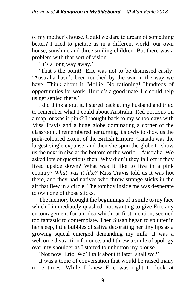of my mother's house. Could we dare to dream of something better? I tried to picture us in a different world: our own house, sunshine and three smiling children. But there was a problem with that sort of vision.

'It's a long way away.'

'That's the point!' Eric was not to be dismissed easily. 'Australia hasn't been touched by the war in the way we have. Think about it, Mollie. No rationing! Hundreds of opportunities for work! Hurtle's a good mate. He could help us get settled there.'

I did think about it. I stared back at my husband and tried to remember what I could about Australia. Red portions on a map, or was it pink? I thought back to my schooldays with Miss Travis and a huge globe dominating a corner of the classroom. I remembered her turning it slowly to show us the pink-coloured extent of the British Empire. Canada was the largest single expanse, and then she spun the globe to show us the next in size at the bottom of the world – Australia. We asked lots of questions then: Why didn't they fall off if they lived upside down? What was it like to live in a pink country? *What was it like?* Miss Travis told us it was hot there, and they had natives who threw strange sticks in the air that flew in a circle. The tomboy inside me was desperate to own one of those sticks.

The memory brought the beginnings of a smile to my face which I immediately quashed, not wanting to give Eric any encouragement for an idea which, at first mention, seemed too fantastic to contemplate. Then Susan began to splutter in her sleep, little bubbles of saliva decorating her tiny lips as a growing squeal emerged demanding my milk. It was a welcome distraction for once, and I threw a smile of apology over my shoulder as I started to unbutton my blouse.

'Not now, Eric. We'll talk about it later, shall we?'

It was a topic of conversation that would be raised many more times. While I knew Eric was right to look at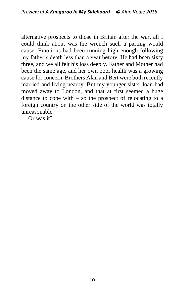alternative prospects to those in Britain after the war, all I could think about was the wrench such a parting would cause. Emotions had been running high enough following my father's death less than a year before. He had been sixty three, and we all felt his loss deeply. Father and Mother had been the same age, and her own poor health was a growing cause for concern. Brothers Alan and Bert were both recently married and living nearby. But my younger sister Joan had moved away to London, and that at first seemed a huge distance to cope with – so the prospect of relocating to a foreign country on the other side of the world was totally unreasonable.

Or was it?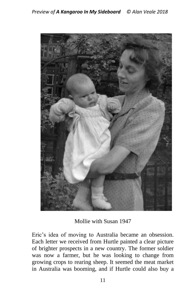

Mollie with Susan 1947

Eric's idea of moving to Australia became an obsession. Each letter we received from Hurtle painted a clear picture of brighter prospects in a new country. The former soldier was now a farmer, but he was looking to change from growing crops to rearing sheep. It seemed the meat market in Australia was booming, and if Hurtle could also buy a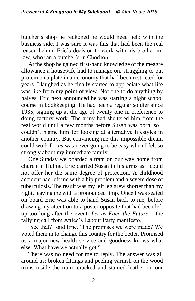butcher's shop he reckoned he would need help with the business side. I was sure it was this that had been the real reason behind Eric's decision to work with his brother-inlaw, who ran a butcher's in Chorlton.

At the shop he gained first-hand knowledge of the meagre allowance a housewife had to manage on, struggling to put protein on a plate in an economy that had been restricted for years. I laughed as he finally started to appreciate what life was like from my point of view. Not one to do anything by halves, Eric next announced he was starting a night school course in bookkeeping. He had been a regular soldier since 1935, signing up at the age of twenty one in preference to doing factory work. The army had sheltered him from the real world until a few months before Susan was born, so I couldn't blame him for looking at alternative lifestyles in another country. But convincing me this impossible dream could work for *us* was never going to be easy when I felt so strongly about my immediate family.

One Sunday we boarded a tram on our way home from church in Hulme. Eric carried Susan in his arms as I could not offer her the same degree of protection. A childhood accident had left me with a hip problem and a severe dose of tuberculosis. The result was my left leg grew shorter than my right, leaving me with a pronounced limp. Once I was seated on board Eric was able to hand Susan back to me, before drawing my attention to a poster opposite that had been left up too long after the event: *Let us Face the Future* – the rallying call from Attlee's Labour Party manifesto.

'See that?' said Eric. 'The promises we were made? We voted them in to change this country for the better. Promised us a major new health service and goodness knows what else. What have we actually got?'

There was no need for me to reply. The answer was all around us: broken fittings and peeling varnish on the wood trims inside the tram, cracked and stained leather on our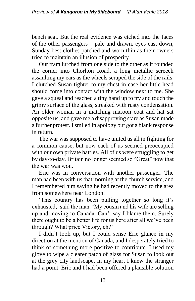bench seat. But the real evidence was etched into the faces of the other passengers – pale and drawn, eyes cast down, Sunday-best clothes patched and worn thin as their owners tried to maintain an illusion of prosperity.

Our tram lurched from one side to the other as it rounded the corner into Chorlton Road, a long metallic screech assaulting my ears as the wheels scraped the side of the rails. I clutched Susan tighter to my chest in case her little head should come into contact with the window next to me. She gave a squeal and reached a tiny hand up to try and touch the grimy surface of the glass, streaked with rusty condensation. An older woman in a matching maroon coat and hat sat opposite us, and gave me a disapproving stare as Susan made a further protest. I smiled in apology but got a blank response in return.

The war was supposed to have united us all in fighting for a common cause, but now each of us seemed preoccupied with our own private battles. All of us were struggling to get by day-to-day. Britain no longer seemed so "Great" now that the war was won.

Eric was in conversation with another passenger. The man had been with us that morning at the church service, and I remembered him saying he had recently moved to the area from somewhere near London.

'This country has been pulling together so long it's exhausted,' said the man. 'My cousin and his wife are selling up and moving to Canada. Can't say I blame them. Surely there ought to be a better life for us here after all we've been through? What price Victory, eh?'

I didn't look up, but I could sense Eric glance in my direction at the mention of Canada, and I desperately tried to think of something more positive to contribute. I used my glove to wipe a clearer patch of glass for Susan to look out at the grey city landscape. In my heart I knew the stranger had a point. Eric and I had been offered a plausible solution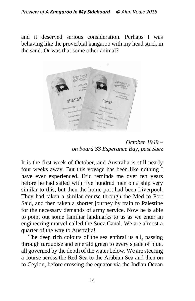and it deserved serious consideration. Perhaps I was behaving like the proverbial kangaroo with my head stuck in the sand. Or was that some other animal?



*October 1949 – on board SS Esperance Bay, past Suez*

It is the first week of October, and Australia is still nearly four weeks away. But this voyage has been like nothing I have ever experienced. Eric reminds me over ten years before he had sailed with five hundred men on a ship very similar to this, but then the home port had been Liverpool. They had taken a similar course through the Med to Port Said, and then taken a shorter journey by train to Palestine for the necessary demands of army service. Now he is able to point out some familiar landmarks to us as we enter an engineering marvel called the Suez Canal. We are almost a quarter of the way to Australia!

The deep rich colours of the sea enthral us all, passing through turquoise and emerald green to every shade of blue, all governed by the depth of the water below. We are steering a course across the Red Sea to the Arabian Sea and then on to Ceylon, before crossing the equator via the Indian Ocean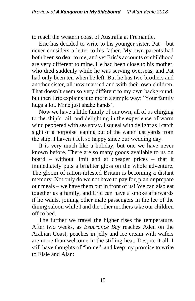to reach the western coast of Australia at Fremantle.

Eric has decided to write to his younger sister, Pat – but never considers a letter to his father. My own parents had both been so dear to me, and yet Eric's accounts of childhood are very different to mine. He had been close to his mother, who died suddenly while he was serving overseas, and Pat had only been ten when he left. But he has two brothers and another sister, all now married and with their own children. That doesn't seem so very different to my own background, but then Eric explains it to me in a simple way: 'Your family hugs a lot. Mine just shake hands'.

Now we have a little family of our own, all of us clinging to the ship's rail, and delighting in the experience of warm wind peppered with sea spray. I squeal with delight as I catch sight of a porpoise leaping out of the water just yards from the ship. I haven't felt so happy since our wedding day.

It is very much like a holiday, but one we have never known before. There are so many goods available to us on board – without limit and at cheaper prices – that it immediately puts a brighter gloss on the whole adventure. The gloom of ration-infested Britain is becoming a distant memory. Not only do we not have to pay for, plan or prepare our meals – we have them put in front of us! We can also eat together as a family, and Eric can have a smoke afterwards if he wants, joining other male passengers in the lee of the dining saloon while I and the other mothers take our children off to bed.

The further we travel the higher rises the temperature. After two weeks, as *Esperance Bay* reaches Aden on the Arabian Coast, peaches in jelly and ice cream with wafers are more than welcome in the stifling heat. Despite it all, I still have thoughts of "home", and keep my promise to write to Elsie and Alan: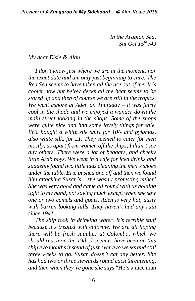*In the Arabian Sea, Sat Oct 15th /49*

### *My dear Elsie & Alan,*

*I don't know just where we are at the moment, nor the exact date and am only just beginning to care! The Red Sea seems to have taken all the use out of me. It is cooler now but below decks all the heat seems to be stored up and then of course we are still in the tropics. We went ashore at Aden on Thursday – it was fairly cool in the shade and we enjoyed a wander down the main street looking in the shops. Some of the shops were quite nice and had some lovely things for sale. Eric bought a white silk shirt for 10/- and pyjamas, also white silk, for £1. They seemed to cater for men mostly, as apart from women off the ships, I didn't see any others. There were a lot of beggars, and cheeky little Arab boys. We went in a cafe for iced drinks and suddenly found two little lads cleaning the men's shoes under the table. Eric pushed one off and then we found him attacking Susan's* – *she wasn't protesting either! She was very good and came all round with us holding tight to my hand, not saying much except when she saw one or two camels and goats. Aden is very hot, dusty with barren looking hills. They haven't had any rain since 1941.* 

*The ship took in drinking water. It's terrible stuff because it's treated with chlorine. We are all hoping there will be fresh supplies at Colombo, which we should reach on the 19th. I seem to have been on this ship two months instead of just over two weeks and still three weeks to go. Susan doesn't eat any better. She has had two or three stewards round each threatening, and then when they've gone she says* "He's a nice man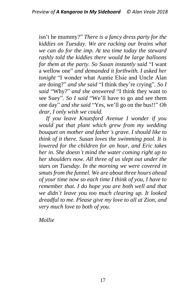isn't he mummy?" *There is a fancy dress party for the kiddies on Tuesday. We are racking our brains what we can do for the imp. At tea time today the steward rashly told the kiddies there would be large balloons for them at the party. So Susan instantly said* "I want a wellow one" *and demanded it forthwith. I asked her tonight* "I wonder what Auntie Elsie and Uncle Alan are doing?" *and she said* "I think they're crying"*. So I said* "Why?" *and she answered* "I think they want to see Suey"*. So I said* "We'll have to go and see them one day" *and she said* "Yes, we'll go on the bus!!" *Oh dear, I only wish we could.*

*If you leave Knutsford Avenue I wonder if you would put that plant which grew from my wedding bouquet on mother and father's grave. I should like to think of it there. Susan loves the swimming pool. It is lowered for the children for an hour, and Eric takes her in. She doesn't mind the water coming right up to her shoulders now. All three of us slept out under the stars on Tuesday. In the morning we were covered in smuts from the funnel. We are about three hours ahead of your time now so each time I think of you, I have to remember that. I do hope you are both well and that we didn't leave you too much clearing up. It looked dreadful to me. Please give my love to all at Zion, and very much love to both of you.*

*Mollie*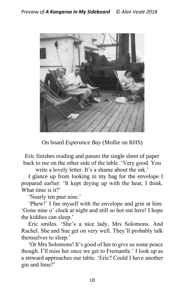

On board *Esperance Bay* (Mollie on RHS)

Eric finishes reading and passes the single sheet of paper back to me on the other side of the table. 'Very good. You

write a lovely letter. It's a shame about the ink.'

I glance up from looking in my bag for the envelope I prepared earlier. 'It kept drying up with the heat, I think. What time is it?'

'Nearly ten past nine.'

'Phew!' I fan myself with the envelope and grin at him. 'Gone nine o' clock at night and still so hot out here! I hope the kiddies can sleep.'

Eric smiles. 'She's a nice lady, Mrs Solomons. And Rachel. She and Sue get on very well. They'll probably talk themselves to sleep.'

'Or Mrs Solomons! It's good of her to give us some peace though. I'll miss her once we get to Fremantle.' I look up as a steward approaches our table. 'Eric? Could I have another gin and lime?'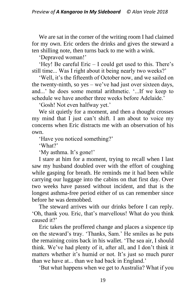We are sat in the corner of the writing room I had claimed for my own. Eric orders the drinks and gives the steward a ten shilling note, then turns back to me with a wink.

'Depraved woman!'

'Hey! Be careful Eric – I could get used to this. There's still time... Was I right about it being nearly two weeks?'

'Well, it's the fifteenth of October now, and we sailed on the twenty-ninth, so yes – we've had just over sixteen days, and...' he does some mental arithmetic. '...If we keep to schedule we have another three weeks before Adelaide.'

'Gosh! Not even halfway yet.'

We sit quietly for a moment, and then a thought crosses my mind that I just can't shift. I am about to voice my concerns when Eric distracts me with an observation of his own.

'Have you noticed something?'

'What?'

'My asthma. It's gone!'

I stare at him for a moment, trying to recall when I last saw my husband doubled over with the effort of coughing while gasping for breath. He reminds me it had been while carrying our luggage into the cabins on that first day. Over two weeks have passed without incident, and that is the longest asthma-free period either of us can remember since before he was demobbed.

The steward arrives with our drinks before I can reply. 'Oh, thank you. Eric, that's marvellous! What do you think caused it?'

Eric takes the proffered change and places a sixpence tip on the steward's tray. 'Thanks, Sam.' He smiles as he puts the remaining coins back in his wallet. 'The sea air, I should think. We've had plenty of it, after all, and I don't think it matters whether it's humid or not. It's just so much purer than we have at... than we had back in England.'

'But what happens when we get to Australia? What if you